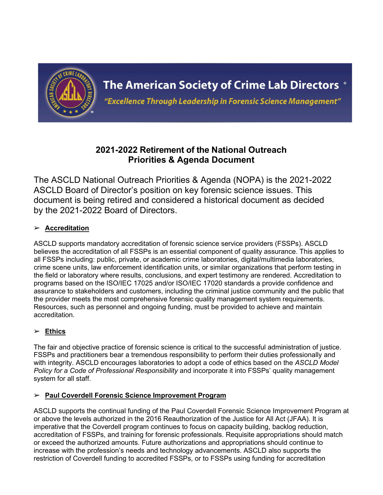

"Excellence Through Leadership in Forensic Science Management"

# **2021-2022 Retirement of the National Outreach Priorities & Agenda Document**

The ASCLD National Outreach Priorities & Agenda (NOPA) is the 2021-2022 ASCLD Board of Director's position on key forensic science issues. This document is being retired and considered a historical document as decided by the 2021-2022 Board of Directors.

## ➢ **Accreditation**

ASCLD supports mandatory accreditation of forensic science service providers (FSSPs). ASCLD believes the accreditation of all FSSPs is an essential component of quality assurance. This applies to all FSSPs including: public, private, or academic crime laboratories, digital/multimedia laboratories, crime scene units, law enforcement identification units, or similar organizations that perform testing in the field or laboratory where results, conclusions, and expert testimony are rendered. Accreditation to programs based on the ISO/IEC 17025 and/or ISO/IEC 17020 standards a provide confidence and assurance to stakeholders and customers, including the criminal justice community and the public that the provider meets the most comprehensive forensic quality management system requirements. Resources, such as personnel and ongoing funding, must be provided to achieve and maintain accreditation.

## ➢ **Ethics**

The fair and objective practice of forensic science is critical to the successful administration of justice. FSSPs and practitioners bear a tremendous responsibility to perform their duties professionally and with integrity. ASCLD encourages laboratories to adopt a code of ethics based on the *[ASCLD Model](https://www.ascld.org/wp-content/uploads/2018/01/ASCLD-MODEL-POLICY-Jan-2018-1.docx) [Policy for a Code of Professional Responsibility](https://www.ascld.org/wp-content/uploads/2018/01/ASCLD-MODEL-POLICY-Jan-2018-1.docx)* and incorporate it into FSSPs' quality management system for all staff.

## ➢ **Paul Coverdell Forensic Science Improvement Program**

ASCLD supports the continual funding of the Paul Coverdell Forensic Science Improvement Program at or above the levels authorized in the 2016 Reauthorization of the Justice for All Act (JFAA). It is imperative that the Coverdell program continues to focus on capacity building, backlog reduction, accreditation of FSSPs, and training for forensic professionals. Requisite appropriations should match or exceed the authorized amounts. Future authorizations and appropriations should continue to increase with the profession's needs and technology advancements. ASCLD also supports the restriction of Coverdell funding to accredited FSSPs, or to FSSPs using funding for accreditation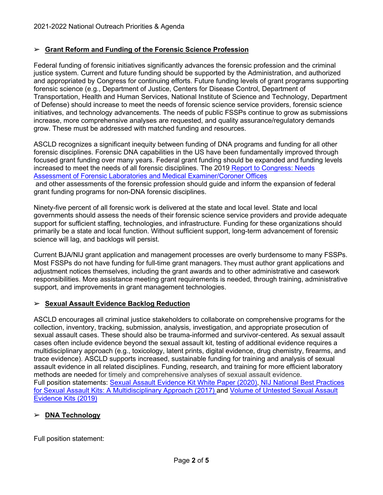### ➢ **Grant Reform and Funding of the Forensic Science Profession**

Federal funding of forensic initiatives significantly advances the forensic profession and the criminal justice system. Current and future funding should be supported by the Administration, and authorized and appropriated by Congress for continuing efforts. Future funding levels of grant programs supporting forensic science (e.g., Department of Justice, Centers for Disease Control, Department of Transportation, Health and Human Services, National Institute of Science and Technology, Department of Defense) should increase to meet the needs of forensic science service providers, forensic science initiatives, and technology advancements. The needs of public FSSPs continue to grow as submissions increase, more comprehensive analyses are requested, and quality assurance/regulatory demands grow. These must be addressed with matched funding and resources.

ASCLD recognizes a significant inequity between funding of DNA programs and funding for all other forensic disciplines. Forensic DNA capabilities in the US have been fundamentally improved through focused grant funding over many years. Federal grant funding should be expanded and funding levels increased to meet the needs of all forensic disciplines. The 2019 [Report to Congress: Needs](https://nij.ojp.gov/library/publications/report-congress-needs-assessment-forensic-laboratories-and-medical) Assessment of Forensic Laboratories and [Medical Examiner/Coroner Offices](https://nij.ojp.gov/library/publications/report-congress-needs-assessment-forensic-laboratories-and-medical) and other assessments of the forensic profession should guide and inform the expansion of federal grant funding programs for non-DNA forensic disciplines.

Ninety-five percent of all forensic work is delivered at the state and local level. State and local governments should assess the needs of their forensic science service providers and provide adequate support for sufficient staffing, technologies, and infrastructure. Funding for these organizations should primarily be a state and local function. Without sufficient support, long-term advancement of forensic science will lag, and backlogs will persist.

Current BJA/NIJ grant application and management processes are overly burdensome to many FSSPs. Most FSSPs do not have funding for full-time grant managers. They must author grant applications and adjustment notices themselves, including the grant awards and to other administrative and casework responsibilities. More assistance meeting grant requirements is needed, through training, administrative support, and improvements in grant management technologies.

#### ➢ **Sexual Assault Evidence Backlog Reduction**

ASCLD encourages all criminal justice stakeholders to collaborate on comprehensive programs for the collection, inventory, tracking, submission, analysis, investigation, and appropriate prosecution of sexual assault cases. These should also be trauma-informed and survivor-centered. As sexual assault cases often include evidence beyond the sexual assault kit, testing of additional evidence requires a multidisciplinary approach (e.g., toxicology, latent prints, digital evidence, drug chemistry, firearms, and trace evidence). ASCLD supports increased, sustainable funding for training and analysis of sexual assault evidence in all related disciplines. Funding, research, and training for more efficient laboratory methods are needed for timely and comprehensive analyses of sexual assault evidence. Full position statements: [Sexual Assault Evidence Kit White Paper \(2020\),](https://www.ascld.org/wp-content/uploads/2020/05/ASCLD-SAEK-White-Paper-Final.pdf) [NIJ National Best Practices](https://www.ascld.org/wp-content/uploads/2017/08/ASCLD-Position-Statement-SAFER-9Aug17.pdf) for Sexual [Assault Kits: A Multidisciplinary Approach \(2017\) a](https://www.ascld.org/wp-content/uploads/2017/08/ASCLD-Position-Statement-SAFER-9Aug17.pdf)nd [Volume of Untested Sexual Assault](https://www.ascld.org/wp-content/uploads/2019/11/Press-Release-ASCLD-SAEK-Position-Paper-11-20-19.pdf) [Evidence](https://www.ascld.org/wp-content/uploads/2019/11/Press-Release-ASCLD-SAEK-Position-Paper-11-20-19.pdf) Kits (2019)

## ➢ **DNA Technology**

Full position statement: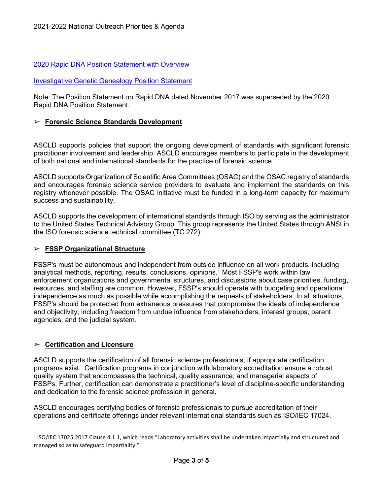#### 2020 Rapid DNA Position Statement [with Overview](https://www.ascld.org/wp-content/uploads/2020/12/Rapid-DNA-Position-Statement-with-Overview.pdf)

[Investigative](https://www.ascld.org/wp-content/uploads/2019/10/ASCLD-IGG-10.18.19.pdf) Genetic Genealogy Position Statement

Note: The Position Statement on Rapid DNA dated November 2017 was superseded by the 2020 Rapid DNA Position Statement.

#### ➢ **Forensic Science Standards Development**

ASCLD supports policies that support the ongoing development of standards with significant forensic practitioner involvement and leadership. ASCLD encourages members to participate in the development of both national and international standards for the practice of forensic science.

ASCLD supports Organization of Scientific Area Committees (OSAC) and the OSAC registry of standards and encourages forensic science service providers to evaluate and implement the standards on this registry whenever possible. The OSAC initiative must be funded in a long-term capacity for maximum success and sustainability.

ASCLD supports the development of international standards through ISO by serving as the administrator to the United States Technical Advisory Group. This group represents the United States through ANSI in the ISO forensic science technical committee (TC 272).

#### ➢ **FSSP Organizational Structure**

FSSP's must be autonomous and independent from outside influence on all work products, including analytical methods, reporting, results, conclusions, opinions[.1](#page-2-0) Most FSSP's work within law enforcement organizations and governmental structures, and discussions about case priorities, funding, resources, and staffing are common. However, FSSP's should operate with budgeting and operational independence as much as possible while accomplishing the requests of stakeholders. In all situations, FSSP's should be protected from extraneous pressures that compromise the ideals of independence and objectivity; including freedom from undue influence from stakeholders, interest groups, parent agencies, and the judicial system.

#### ➢ **Certification and Licensure**

ASCLD supports the certification of all forensic science professionals, if appropriate certification programs exist. Certification programs in conjunction with laboratory accreditation ensure a robust quality system that encompasses the technical, quality assurance, and managerial aspects of FSSPs. Further, certification can demonstrate a practitioner's level of discipline-specific understanding and dedication to the forensic science profession in general.

ASCLD encourages certifying bodies of forensic professionals to pursue accreditation of their operations and certificate offerings under relevant international standards such as ISO/IEC 17024.

<span id="page-2-0"></span><sup>1</sup> ISO/IEC 17025:2017 Clause 4.1.1, which reads "Laboratory activities shall be undertaken impartially and structured and managed so as to safeguard impartiality."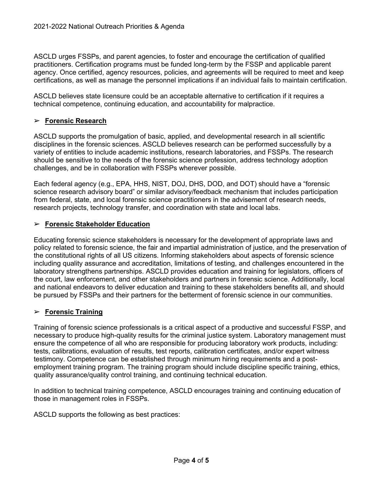ASCLD urges FSSPs, and parent agencies, to foster and encourage the certification of qualified practitioners. Certification programs must be funded long-term by the FSSP and applicable parent agency. Once certified, agency resources, policies, and agreements will be required to meet and keep certifications, as well as manage the personnel implications if an individual fails to maintain certification.

ASCLD believes state licensure could be an acceptable alternative to certification if it requires a technical competence, continuing education, and accountability for malpractice.

#### ➢ **Forensic Research**

ASCLD supports the promulgation of basic, applied, and developmental research in all scientific disciplines in the forensic sciences. ASCLD believes research can be performed successfully by a variety of entities to include academic institutions, research laboratories, and FSSPs. The research should be sensitive to the needs of the forensic science profession, address technology adoption challenges, and be in collaboration with FSSPs wherever possible.

Each federal agency (e.g., EPA, HHS, NIST, DOJ, DHS, DOD, and DOT) should have a "forensic science research advisory board" or similar advisory/feedback mechanism that includes participation from federal, state, and local forensic science practitioners in the advisement of research needs, research projects, technology transfer, and coordination with state and local labs.

#### ➢ **Forensic Stakeholder Education**

Educating forensic science stakeholders is necessary for the development of appropriate laws and policy related to forensic science, the fair and impartial administration of justice, and the preservation of the constitutional rights of all US citizens. Informing stakeholders about aspects of forensic science including quality assurance and accreditation, limitations of testing, and challenges encountered in the laboratory strengthens partnerships. ASCLD provides education and training for legislators, officers of the court, law enforcement, and other stakeholders and partners in forensic science. Additionally, local and national endeavors to deliver education and training to these stakeholders benefits all, and should be pursued by FSSPs and their partners for the betterment of forensic science in our communities.

## ➢ **Forensic Training**

Training of forensic science professionals is a critical aspect of a productive and successful FSSP, and necessary to produce high-quality results for the criminal justice system. Laboratory management must ensure the competence of all who are responsible for producing laboratory work products, including: tests, calibrations, evaluation of results, test reports, calibration certificates, and/or expert witness testimony. Competence can be established through minimum hiring requirements and a postemployment training program. The training program should include discipline specific training, ethics, quality assurance/quality control training, and continuing technical education.

In addition to technical training competence, ASCLD encourages training and continuing education of those in management roles in FSSPs.

ASCLD supports the following as best practices: